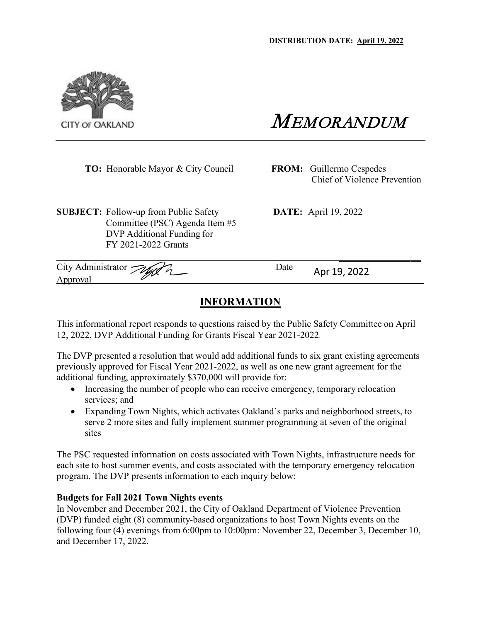

MEMORANDUM

**TO:** Honorable Mayor & City Council **FROM:** Guillermo Cespedes

Chief of Violence Prevention

**SUBJECT:** Follow-up from Public Safety **DATE:** April 19, 2022 Committee (PSC) Agenda Item #5 DVP Additional Funding for FY 2021-2022 Grants

City Administrator *Tour Plate* Date Apr 19, 2022

# **INFORMATION**

This informational report responds to questions raised by the Public Safety Committee on April 12, 2022, DVP Additional Funding for Grants Fiscal Year 2021-2022.

The DVP presented a resolution that would add additional funds to six grant existing agreements previously approved for Fiscal Year 2021-2022, as well as one new grant agreement for the additional funding, approximately \$370,000 will provide for:

- Increasing the number of people who can receive emergency, temporary relocation services; and
- Expanding Town Nights, which activates Oakland's parks and neighborhood streets, to serve 2 more sites and fully implement summer programming at seven of the original sites

The PSC requested information on costs associated with Town Nights, infrastructure needs for each site to host summer events, and costs associated with the temporary emergency relocation program. The DVP presents information to each inquiry below:

## **Budgets for Fall 2021 Town Nights events**

In November and December 2021, the City of Oakland Department of Violence Prevention (DVP) funded eight (8) community-based organizations to host Town Nights events on the following four (4) evenings from 6:00pm to 10:00pm: November 22, December 3, December 10, and December 17, 2022.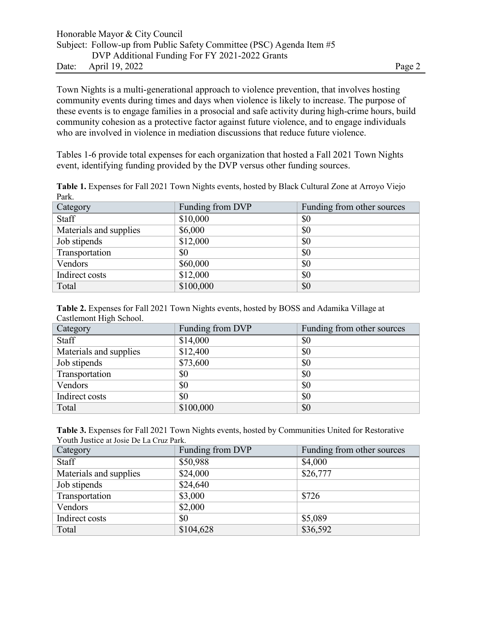|       | Honorable Mayor & City Council                                       |        |
|-------|----------------------------------------------------------------------|--------|
|       | Subject: Follow-up from Public Safety Committee (PSC) Agenda Item #5 |        |
|       | DVP Additional Funding For FY 2021-2022 Grants                       |        |
| Date: | April 19, 2022                                                       | Page 2 |

Town Nights is a multi-generational approach to violence prevention, that involves hosting community events during times and days when violence is likely to increase. The purpose of these events is to engage families in a prosocial and safe activity during high-crime hours, build community cohesion as a protective factor against future violence, and to engage individuals who are involved in violence in mediation discussions that reduce future violence.

Tables 1-6 provide total expenses for each organization that hosted a Fall 2021 Town Nights event, identifying funding provided by the DVP versus other funding sources.

| Category               | Funding from DVP | Funding from other sources |
|------------------------|------------------|----------------------------|
| Staff                  | \$10,000         | \$0                        |
| Materials and supplies | \$6,000          | \$0                        |
| Job stipends           | \$12,000         | \$0                        |
| Transportation         | \$0              | \$0                        |
| Vendors                | \$60,000         | \$0                        |
| Indirect costs         | \$12,000         | \$0                        |
| Total                  | \$100,000        | \$0                        |

**Table 1.** Expenses for Fall 2021 Town Nights events, hosted by Black Cultural Zone at Arroyo Viejo Park.

| Table 2. Expenses for Fall 2021 Town Nights events, hosted by BOSS and Adamika Village at |  |  |
|-------------------------------------------------------------------------------------------|--|--|
| Castlemont High School.                                                                   |  |  |

| ັ<br>Category          | Funding from DVP | Funding from other sources |
|------------------------|------------------|----------------------------|
| Staff                  | \$14,000         | \$0                        |
| Materials and supplies | \$12,400         | \$0                        |
| Job stipends           | \$73,600         | \$0                        |
| Transportation         | \$0              | \$0                        |
| Vendors                | \$0              | \$0                        |
| Indirect costs         | \$0              | \$0                        |
| Total                  | \$100,000        | \$0                        |

| Table 3. Expenses for Fall 2021 Town Nights events, hosted by Communities United for Restorative |  |
|--------------------------------------------------------------------------------------------------|--|
| Youth Justice at Josie De La Cruz Park.                                                          |  |

| Category               | Funding from DVP | Funding from other sources |
|------------------------|------------------|----------------------------|
| Staff                  | \$50,988         | \$4,000                    |
| Materials and supplies | \$24,000         | \$26,777                   |
| Job stipends           | \$24,640         |                            |
| Transportation         | \$3,000          | \$726                      |
| Vendors                | \$2,000          |                            |
| Indirect costs         | \$0              | \$5,089                    |
| Total                  | \$104,628        | \$36,592                   |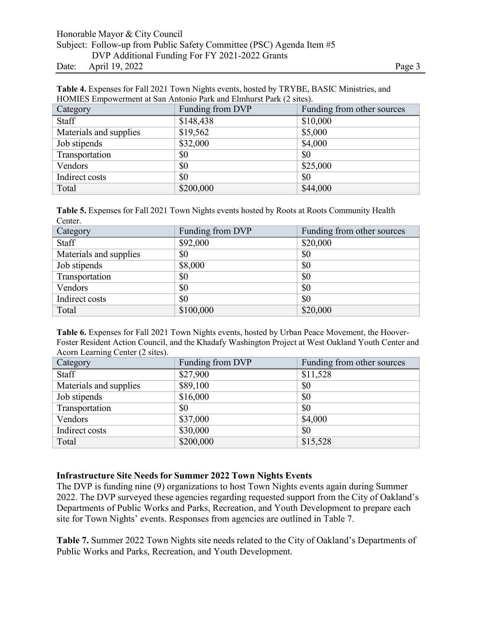### Honorable Mayor & City Council Subject: Follow-up from Public Safety Committee (PSC) Agenda Item #5 DVP Additional Funding For FY 2021-2022 Grants Date: April 19, 2022 Page 3

| Table 4. Expenses for Fall 2021 Town Nights events, hosted by TRYBE, BASIC Ministries, and |
|--------------------------------------------------------------------------------------------|
| HOMIES Empowerment at San Antonio Park and Elmhurst Park (2 sites).                        |

| Category               | Funding from DVP | Funding from other sources |
|------------------------|------------------|----------------------------|
| <b>Staff</b>           | \$148,438        | \$10,000                   |
| Materials and supplies | \$19,562         | \$5,000                    |
| Job stipends           | \$32,000         | \$4,000                    |
| Transportation         | \$0              | \$0                        |
| Vendors                | \$0              | \$25,000                   |
| Indirect costs         | \$0              | \$0                        |
| Total                  | \$200,000        | \$44,000                   |

**Table 5.** Expenses for Fall 2021 Town Nights events hosted by Roots at Roots Community Health Center.

| Category               | Funding from DVP | Funding from other sources |
|------------------------|------------------|----------------------------|
| Staff                  | \$92,000         | \$20,000                   |
| Materials and supplies | \$0              | \$0                        |
| Job stipends           | \$8,000          | \$0                        |
| Transportation         | \$0              | \$0                        |
| Vendors                | \$0              | \$0                        |
| Indirect costs         | \$0              | \$0                        |
| Total                  | \$100,000        | \$20,000                   |

Table 6. Expenses for Fall 2021 Town Nights events, hosted by Urban Peace Movement, the Hoover-Foster Resident Action Council, and the Khadafy Washington Project at West Oakland Youth Center and Acorn Learning Center (2 sites).

| Category               | Funding from DVP | Funding from other sources |
|------------------------|------------------|----------------------------|
| Staff                  | \$27,900         | \$11,528                   |
| Materials and supplies | \$89,100         | \$0                        |
| Job stipends           | \$16,000         | \$0                        |
| Transportation         | \$0              | \$0                        |
| Vendors                | \$37,000         | \$4,000                    |
| Indirect costs         | \$30,000         | \$0                        |
| Total                  | \$200,000        | \$15,528                   |

### **Infrastructure Site Needs for Summer 2022 Town Nights Events**

The DVP is funding nine (9) organizations to host Town Nights events again during Summer 2022. The DVP surveyed these agencies regarding requested support from the City of Oakland's Departments of Public Works and Parks, Recreation, and Youth Development to prepare each site for Town Nights' events. Responses from agencies are outlined in Table 7.

**Table 7.** Summer 2022 Town Nights site needs related to the City of Oakland's Departments of Public Works and Parks, Recreation, and Youth Development.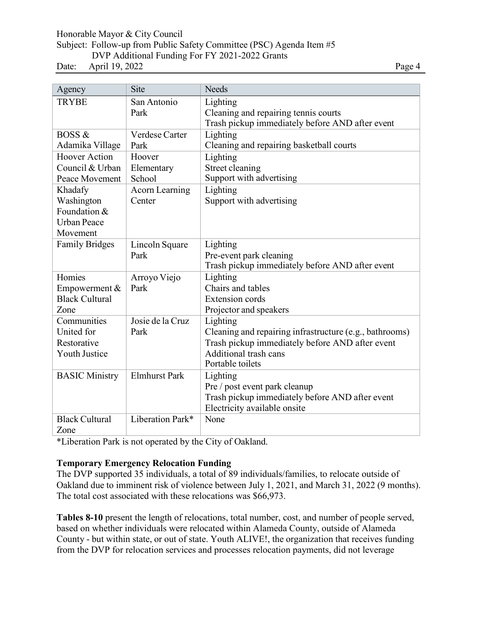Honorable Mayor & City Council

#### Subject: Follow-up from Public Safety Committee (PSC) Agenda Item #5 DVP Additional Funding For FY 2021-2022 Grants

Date: April 19, 2022 Page 4

| Agency                | Site                  | <b>Needs</b>                                            |
|-----------------------|-----------------------|---------------------------------------------------------|
| <b>TRYBE</b>          | San Antonio           | Lighting                                                |
|                       | Park                  | Cleaning and repairing tennis courts                    |
|                       |                       | Trash pickup immediately before AND after event         |
| <b>BOSS &amp;</b>     | Verdese Carter        | Lighting                                                |
| Adamika Village       | Park                  | Cleaning and repairing basketball courts                |
| <b>Hoover Action</b>  | Hoover                | Lighting                                                |
| Council & Urban       | Elementary            | Street cleaning                                         |
| Peace Movement        | School                | Support with advertising                                |
| Khadafy               | <b>Acorn Learning</b> | Lighting                                                |
| Washington            | Center                | Support with advertising                                |
| Foundation &          |                       |                                                         |
| <b>Urban Peace</b>    |                       |                                                         |
| Movement              |                       |                                                         |
| <b>Family Bridges</b> | Lincoln Square        | Lighting                                                |
|                       | Park                  | Pre-event park cleaning                                 |
|                       |                       | Trash pickup immediately before AND after event         |
| Homies                | Arroyo Viejo          | Lighting                                                |
| Empowerment &         | Park                  | Chairs and tables                                       |
| <b>Black Cultural</b> |                       | <b>Extension</b> cords                                  |
| Zone                  |                       | Projector and speakers                                  |
| Communities           | Josie de la Cruz      | Lighting                                                |
| United for            | Park                  | Cleaning and repairing infrastructure (e.g., bathrooms) |
| Restorative           |                       | Trash pickup immediately before AND after event         |
| <b>Youth Justice</b>  |                       | Additional trash cans<br>Portable toilets               |
|                       |                       |                                                         |
| <b>BASIC Ministry</b> | <b>Elmhurst Park</b>  | Lighting                                                |
|                       |                       | Pre / post event park cleanup                           |
|                       |                       | Trash pickup immediately before AND after event         |
| <b>Black Cultural</b> | Liberation Park*      | Electricity available onsite<br>None                    |
|                       |                       |                                                         |
| Zone                  |                       |                                                         |

\*Liberation Park is not operated by the City of Oakland.

## **Temporary Emergency Relocation Funding**

The DVP supported 35 individuals, a total of 89 individuals/families, to relocate outside of Oakland due to imminent risk of violence between July 1, 2021, and March 31, 2022 (9 months). The total cost associated with these relocations was \$66,973.

**Tables 8-10** present the length of relocations, total number, cost, and number of people served, based on whether individuals were relocated within Alameda County, outside of Alameda County - but within state, or out of state. Youth ALIVE!, the organization that receives funding from the DVP for relocation services and processes relocation payments, did not leverage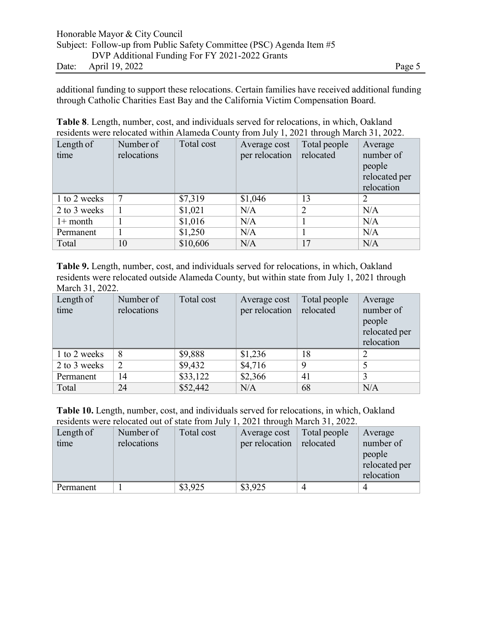additional funding to support these relocations. Certain families have received additional funding through Catholic Charities East Bay and the California Victim Compensation Board.

|  |  |  |  |  | <b>Table 8.</b> Length, number, cost, and individuals served for relocations, in which, Oakland |  |
|--|--|--|--|--|-------------------------------------------------------------------------------------------------|--|
|  |  |  |  |  | residents were relocated within Alameda County from July 1, 2021 through March 31, 2022.        |  |

| Length of    | Number of   | Total cost | Average cost   | Total people   | Average       |
|--------------|-------------|------------|----------------|----------------|---------------|
| time         | relocations |            | per relocation | relocated      | number of     |
|              |             |            |                |                | people        |
|              |             |            |                |                | relocated per |
|              |             |            |                |                | relocation    |
| 1 to 2 weeks |             | \$7,319    | \$1,046        | 13             | 2             |
| 2 to 3 weeks |             | \$1,021    | N/A            | $\overline{2}$ | N/A           |
| $1+$ month   |             | \$1,016    | N/A            |                | N/A           |
| Permanent    |             | \$1,250    | N/A            |                | N/A           |
| Total        | 10          | \$10,606   | N/A            | 17             | N/A           |

**Table 9.** Length, number, cost, and individuals served for relocations, in which, Oakland residents were relocated outside Alameda County, but within state from July 1, 2021 through March 31, 2022.

| Length of<br>time | Number of<br>relocations | Total cost | Average cost<br>per relocation | Total people<br>relocated | Average<br>number of<br>people<br>relocated per<br>relocation |
|-------------------|--------------------------|------------|--------------------------------|---------------------------|---------------------------------------------------------------|
| 1 to 2 weeks      | 8                        | \$9,888    | \$1,236                        | 18                        |                                                               |
| 2 to 3 weeks      | $\overline{2}$           | \$9,432    | \$4,716                        | $\mathbf Q$               |                                                               |
| Permanent         | 14                       | \$33,122   | \$2,366                        | 41                        | 3                                                             |
| Total             | 24                       | \$52,442   | N/A                            | 68                        | N/A                                                           |

**Table 10.** Length, number, cost, and individuals served for relocations, in which, Oakland residents were relocated out of state from July 1, 2021 through March 31, 2022.

| Length of<br>time | Number of<br>relocations | Total cost | Average cost<br>per relocation | Total people<br>relocated | Average<br>number of<br>people<br>relocated per<br>relocation |
|-------------------|--------------------------|------------|--------------------------------|---------------------------|---------------------------------------------------------------|
| Permanent         |                          | \$3,925    | \$3,925                        |                           |                                                               |